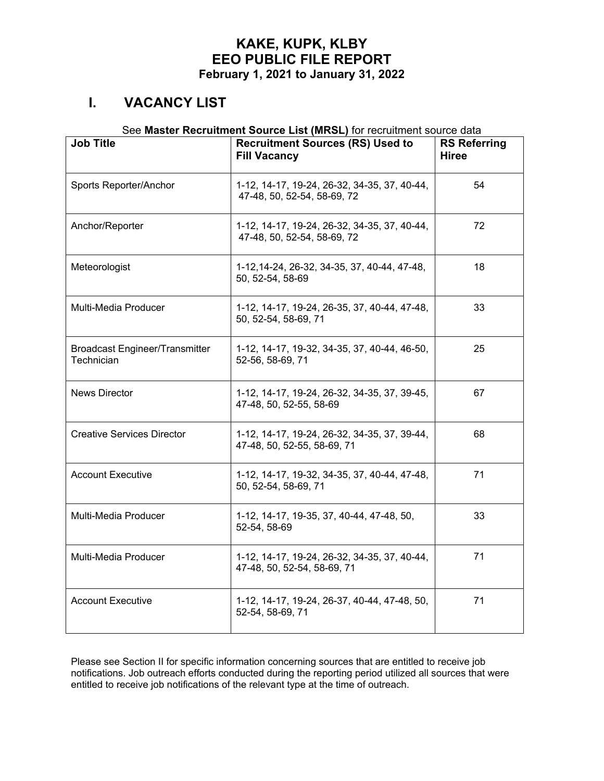## **I. VACANCY LIST**

#### See **Master Recruitment Source List (MRSL)** for recruitment source data

| <b>Job Title</b>                                    | <b>Recruitment Sources (RS) Used to</b><br><b>Fill Vacancy</b>              | <b>RS Referring</b><br><b>Hiree</b> |
|-----------------------------------------------------|-----------------------------------------------------------------------------|-------------------------------------|
| Sports Reporter/Anchor                              | 1-12, 14-17, 19-24, 26-32, 34-35, 37, 40-44,<br>47-48, 50, 52-54, 58-69, 72 | 54                                  |
| Anchor/Reporter                                     | 1-12, 14-17, 19-24, 26-32, 34-35, 37, 40-44,<br>47-48, 50, 52-54, 58-69, 72 | 72                                  |
| Meteorologist                                       | 1-12, 14-24, 26-32, 34-35, 37, 40-44, 47-48,<br>50, 52-54, 58-69            | 18                                  |
| Multi-Media Producer                                | 1-12, 14-17, 19-24, 26-35, 37, 40-44, 47-48,<br>50, 52-54, 58-69, 71        | 33                                  |
| <b>Broadcast Engineer/Transmitter</b><br>Technician | 1-12, 14-17, 19-32, 34-35, 37, 40-44, 46-50,<br>52-56, 58-69, 71            | 25                                  |
| <b>News Director</b>                                | 1-12, 14-17, 19-24, 26-32, 34-35, 37, 39-45,<br>47-48, 50, 52-55, 58-69     | 67                                  |
| <b>Creative Services Director</b>                   | 1-12, 14-17, 19-24, 26-32, 34-35, 37, 39-44,<br>47-48, 50, 52-55, 58-69, 71 | 68                                  |
| <b>Account Executive</b>                            | 1-12, 14-17, 19-32, 34-35, 37, 40-44, 47-48,<br>50, 52-54, 58-69, 71        | 71                                  |
| Multi-Media Producer                                | 1-12, 14-17, 19-35, 37, 40-44, 47-48, 50,<br>52-54, 58-69                   | 33                                  |
| Multi-Media Producer                                | 1-12, 14-17, 19-24, 26-32, 34-35, 37, 40-44,<br>47-48, 50, 52-54, 58-69, 71 | 71                                  |
| <b>Account Executive</b>                            | 1-12, 14-17, 19-24, 26-37, 40-44, 47-48, 50,<br>52-54, 58-69, 71            | 71                                  |

Please see Section II for specific information concerning sources that are entitled to receive job notifications. Job outreach efforts conducted during the reporting period utilized all sources that were entitled to receive job notifications of the relevant type at the time of outreach.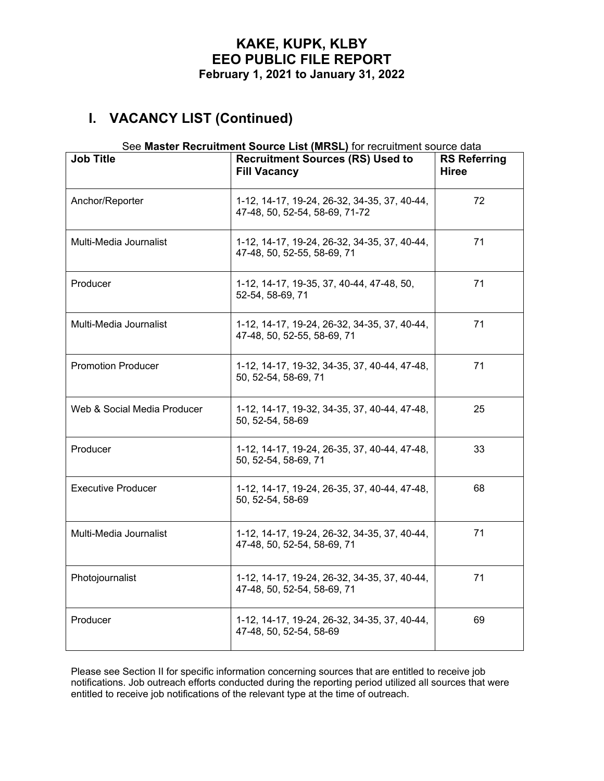# **I. VACANCY LIST (Continued)**

#### See **Master Recruitment Source List (MRSL)** for recruitment source data

| <b>Job Title</b>            | <b>Recruitment Sources (RS) Used to</b><br><b>Fill Vacancy</b>                 | <b>RS Referring</b><br><b>Hiree</b> |
|-----------------------------|--------------------------------------------------------------------------------|-------------------------------------|
| Anchor/Reporter             | 1-12, 14-17, 19-24, 26-32, 34-35, 37, 40-44,<br>47-48, 50, 52-54, 58-69, 71-72 | 72                                  |
| Multi-Media Journalist      | 1-12, 14-17, 19-24, 26-32, 34-35, 37, 40-44,<br>47-48, 50, 52-55, 58-69, 71    | 71                                  |
| Producer                    | 1-12, 14-17, 19-35, 37, 40-44, 47-48, 50,<br>52-54, 58-69, 71                  | 71                                  |
| Multi-Media Journalist      | 1-12, 14-17, 19-24, 26-32, 34-35, 37, 40-44,<br>47-48, 50, 52-55, 58-69, 71    | 71                                  |
| <b>Promotion Producer</b>   | 1-12, 14-17, 19-32, 34-35, 37, 40-44, 47-48,<br>50, 52-54, 58-69, 71           | 71                                  |
| Web & Social Media Producer | 1-12, 14-17, 19-32, 34-35, 37, 40-44, 47-48,<br>50, 52-54, 58-69               | 25                                  |
| Producer                    | 1-12, 14-17, 19-24, 26-35, 37, 40-44, 47-48,<br>50, 52-54, 58-69, 71           | 33                                  |
| <b>Executive Producer</b>   | 1-12, 14-17, 19-24, 26-35, 37, 40-44, 47-48,<br>50, 52-54, 58-69               | 68                                  |
| Multi-Media Journalist      | 1-12, 14-17, 19-24, 26-32, 34-35, 37, 40-44,<br>47-48, 50, 52-54, 58-69, 71    | 71                                  |
| Photojournalist             | 1-12, 14-17, 19-24, 26-32, 34-35, 37, 40-44,<br>47-48, 50, 52-54, 58-69, 71    | 71                                  |
| Producer                    | 1-12, 14-17, 19-24, 26-32, 34-35, 37, 40-44,<br>47-48, 50, 52-54, 58-69        | 69                                  |

Please see Section II for specific information concerning sources that are entitled to receive job notifications. Job outreach efforts conducted during the reporting period utilized all sources that were entitled to receive job notifications of the relevant type at the time of outreach.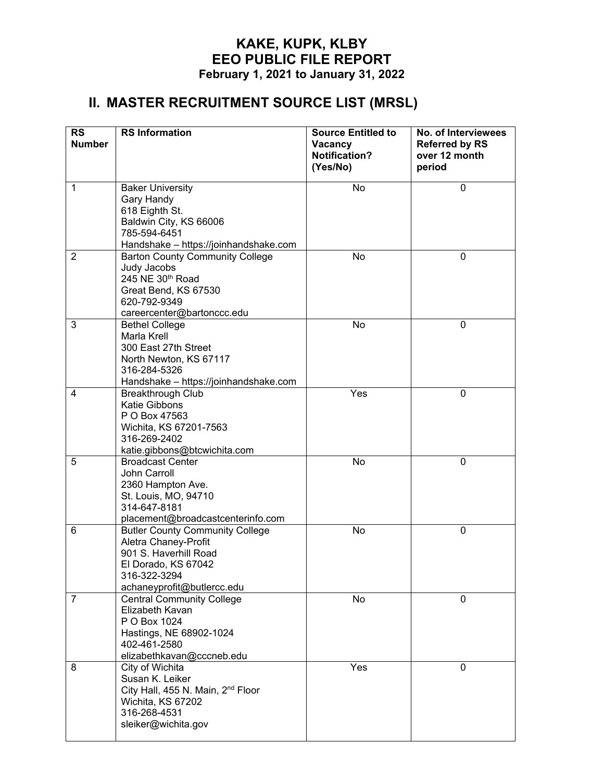# **II. MASTER RECRUITMENT SOURCE LIST (MRSL)**

| <b>RS</b>      | <b>RS</b> Information                                              | <b>Source Entitled to</b>                   | No. of Interviewees                              |
|----------------|--------------------------------------------------------------------|---------------------------------------------|--------------------------------------------------|
| <b>Number</b>  |                                                                    | Vacancy<br><b>Notification?</b><br>(Yes/No) | <b>Referred by RS</b><br>over 12 month<br>period |
| 1              | <b>Baker University</b>                                            | <b>No</b>                                   | $\overline{0}$                                   |
|                | Gary Handy                                                         |                                             |                                                  |
|                | 618 Eighth St.                                                     |                                             |                                                  |
|                | Baldwin City, KS 66006<br>785-594-6451                             |                                             |                                                  |
|                | Handshake - https://joinhandshake.com                              |                                             |                                                  |
| $\overline{2}$ | <b>Barton County Community College</b>                             | No                                          | 0                                                |
|                | Judy Jacobs                                                        |                                             |                                                  |
|                | 245 NE 30th Road                                                   |                                             |                                                  |
|                | Great Bend, KS 67530<br>620-792-9349                               |                                             |                                                  |
|                | careercenter@bartonccc.edu                                         |                                             |                                                  |
| 3              | <b>Bethel College</b>                                              | <b>No</b>                                   | $\mathbf 0$                                      |
|                | <b>Marla Krell</b>                                                 |                                             |                                                  |
|                | 300 East 27th Street                                               |                                             |                                                  |
|                | North Newton, KS 67117<br>316-284-5326                             |                                             |                                                  |
|                | Handshake - https://joinhandshake.com                              |                                             |                                                  |
| 4              | <b>Breakthrough Club</b>                                           | Yes                                         | 0                                                |
|                | <b>Katie Gibbons</b>                                               |                                             |                                                  |
|                | P O Box 47563                                                      |                                             |                                                  |
|                | Wichita, KS 67201-7563<br>316-269-2402                             |                                             |                                                  |
|                | katie.gibbons@btcwichita.com                                       |                                             |                                                  |
| 5              | <b>Broadcast Center</b>                                            | <b>No</b>                                   | 0                                                |
|                | John Carroll                                                       |                                             |                                                  |
|                | 2360 Hampton Ave.<br>St. Louis, MO, 94710                          |                                             |                                                  |
|                | 314-647-8181                                                       |                                             |                                                  |
|                | placement@broadcastcenterinfo.com                                  |                                             |                                                  |
| 6              | <b>Butler County Community College</b>                             | No                                          | 0                                                |
|                | Aletra Chaney-Profit                                               |                                             |                                                  |
|                | 901 S. Haverhill Road<br>El Dorado, KS 67042                       |                                             |                                                  |
|                | 316-322-3294                                                       |                                             |                                                  |
|                | achaneyprofit@butlercc.edu                                         |                                             |                                                  |
| $\overline{7}$ | <b>Central Community College</b>                                   | No                                          | $\mathbf 0$                                      |
|                | Elizabeth Kavan<br>P O Box 1024                                    |                                             |                                                  |
|                | Hastings, NE 68902-1024                                            |                                             |                                                  |
|                | 402-461-2580                                                       |                                             |                                                  |
|                | elizabethkavan@cccneb.edu                                          |                                             |                                                  |
| 8              | City of Wichita                                                    | Yes                                         | $\mathbf 0$                                      |
|                | Susan K. Leiker                                                    |                                             |                                                  |
|                | City Hall, 455 N. Main, 2 <sup>nd</sup> Floor<br>Wichita, KS 67202 |                                             |                                                  |
|                | 316-268-4531                                                       |                                             |                                                  |
|                | sleiker@wichita.gov                                                |                                             |                                                  |
|                |                                                                    |                                             |                                                  |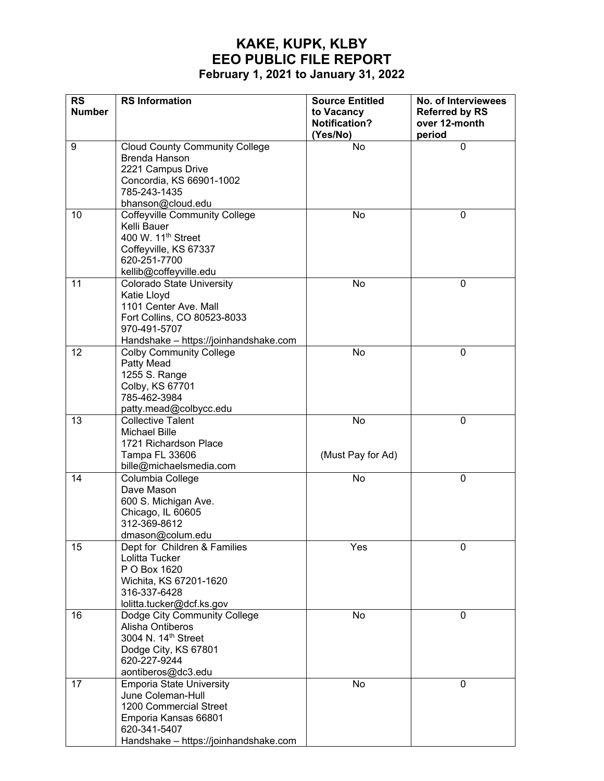| <b>RS</b>     | <b>RS</b> Information                          | <b>Source Entitled</b> | No. of Interviewees   |
|---------------|------------------------------------------------|------------------------|-----------------------|
| <b>Number</b> |                                                | to Vacancy             | <b>Referred by RS</b> |
|               |                                                | <b>Notification?</b>   | over 12-month         |
|               |                                                | (Yes/No)               | period                |
| 9             | <b>Cloud County Community College</b>          | <b>No</b>              | $\mathbf 0$           |
|               | <b>Brenda Hanson</b>                           |                        |                       |
|               | 2221 Campus Drive                              |                        |                       |
|               | Concordia, KS 66901-1002                       |                        |                       |
|               | 785-243-1435                                   |                        |                       |
|               | bhanson@cloud.edu                              |                        |                       |
| 10            | <b>Coffeyville Community College</b>           | No                     | 0                     |
|               | Kelli Bauer                                    |                        |                       |
|               | 400 W. 11 <sup>th</sup> Street                 |                        |                       |
|               | Coffeyville, KS 67337                          |                        |                       |
|               | 620-251-7700                                   |                        |                       |
|               | kellib@coffeyville.edu                         |                        |                       |
| 11            | <b>Colorado State University</b>               | No                     | $\mathbf 0$           |
|               | Katie Lloyd<br>1101 Center Ave. Mall           |                        |                       |
|               | Fort Collins, CO 80523-8033                    |                        |                       |
|               | 970-491-5707                                   |                        |                       |
|               | Handshake - https://joinhandshake.com          |                        |                       |
| 12            | <b>Colby Community College</b>                 | No                     | $\mathbf 0$           |
|               | Patty Mead                                     |                        |                       |
|               | 1255 S. Range                                  |                        |                       |
|               | Colby, KS 67701                                |                        |                       |
|               | 785-462-3984                                   |                        |                       |
|               | patty.mead@colbycc.edu                         |                        |                       |
| 13            | <b>Collective Talent</b>                       | No                     | $\mathbf 0$           |
|               | <b>Michael Bille</b>                           |                        |                       |
|               | 1721 Richardson Place                          |                        |                       |
|               | Tampa FL 33606                                 | (Must Pay for Ad)      |                       |
|               | bille@michaelsmedia.com                        |                        |                       |
| 14            | Columbia College                               | No                     | $\mathbf 0$           |
|               | Dave Mason                                     |                        |                       |
|               | 600 S. Michigan Ave.                           |                        |                       |
|               | Chicago, IL 60605                              |                        |                       |
|               | 312-369-8612                                   |                        |                       |
|               | dmason@colum.edu                               |                        |                       |
| 15            | Dept for Children & Families<br>Lolitta Tucker | Yes                    | 0                     |
|               | P O Box 1620                                   |                        |                       |
|               | Wichita, KS 67201-1620                         |                        |                       |
|               | 316-337-6428                                   |                        |                       |
|               | lolitta.tucker@dcf.ks.gov                      |                        |                       |
| 16            | Dodge City Community College                   | No                     | 0                     |
|               | Alisha Ontiberos                               |                        |                       |
|               | 3004 N. 14th Street                            |                        |                       |
|               | Dodge City, KS 67801                           |                        |                       |
|               | 620-227-9244                                   |                        |                       |
|               | aontiberos@dc3.edu                             |                        |                       |
| 17            | <b>Emporia State University</b>                | No                     | $\mathbf 0$           |
|               | June Coleman-Hull                              |                        |                       |
|               | 1200 Commercial Street                         |                        |                       |
|               | Emporia Kansas 66801                           |                        |                       |
|               | 620-341-5407                                   |                        |                       |
|               | Handshake - https://joinhandshake.com          |                        |                       |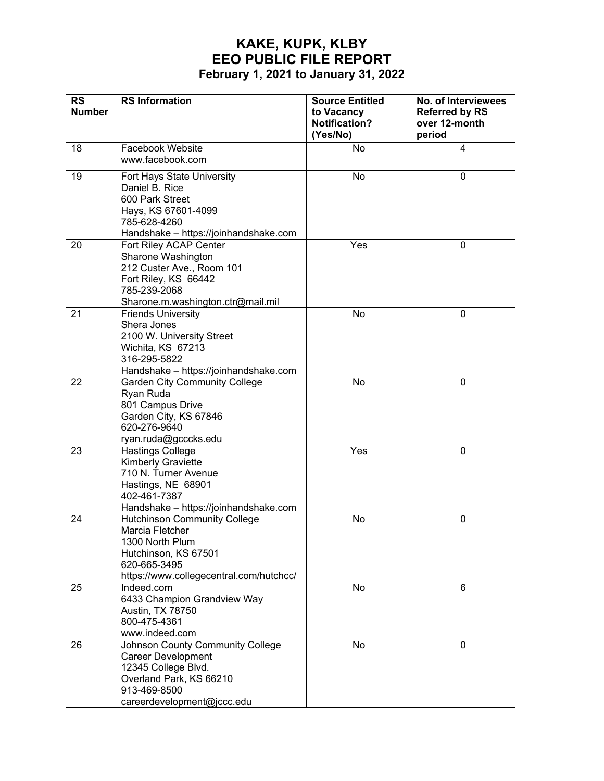| <b>RS</b>     | <b>RS Information</b>                                                                                                                                         | <b>Source Entitled</b>                         | No. of Interviewees                              |
|---------------|---------------------------------------------------------------------------------------------------------------------------------------------------------------|------------------------------------------------|--------------------------------------------------|
| <b>Number</b> |                                                                                                                                                               | to Vacancy<br><b>Notification?</b><br>(Yes/No) | <b>Referred by RS</b><br>over 12-month<br>period |
| 18            | Facebook Website<br>www.facebook.com                                                                                                                          | No                                             | 4                                                |
| 19            | Fort Hays State University<br>Daniel B. Rice<br>600 Park Street<br>Hays, KS 67601-4099<br>785-628-4260<br>Handshake - https://joinhandshake.com               | No                                             | $\mathbf 0$                                      |
| 20            | Fort Riley ACAP Center<br>Sharone Washington<br>212 Custer Ave., Room 101<br>Fort Riley, KS 66442<br>785-239-2068<br>Sharone.m.washington.ctr@mail.mil        | Yes                                            | $\mathbf 0$                                      |
| 21            | <b>Friends University</b><br>Shera Jones<br>2100 W. University Street<br>Wichita, KS 67213<br>316-295-5822<br>Handshake - https://joinhandshake.com           | No                                             | 0                                                |
| 22            | <b>Garden City Community College</b><br>Ryan Ruda<br>801 Campus Drive<br>Garden City, KS 67846<br>620-276-9640<br>ryan.ruda@gcccks.edu                        | <b>No</b>                                      | $\mathbf 0$                                      |
| 23            | <b>Hastings College</b><br>Kimberly Graviette<br>710 N. Turner Avenue<br>Hastings, NE 68901<br>402-461-7387<br>Handshake - https://joinhandshake.com          | Yes                                            | $\mathbf 0$                                      |
| 24            | <b>Hutchinson Community College</b><br>Marcia Fletcher<br>1300 North Plum<br>Hutchinson, KS 67501<br>620-665-3495<br>https://www.collegecentral.com/hutchcc/  | No                                             | 0                                                |
| 25            | Indeed.com<br>6433 Champion Grandview Way<br>Austin, TX 78750<br>800-475-4361<br>www.indeed.com                                                               | No                                             | 6                                                |
| 26            | Johnson County Community College<br><b>Career Development</b><br>12345 College Blvd.<br>Overland Park, KS 66210<br>913-469-8500<br>careerdevelopment@jccc.edu | No                                             | 0                                                |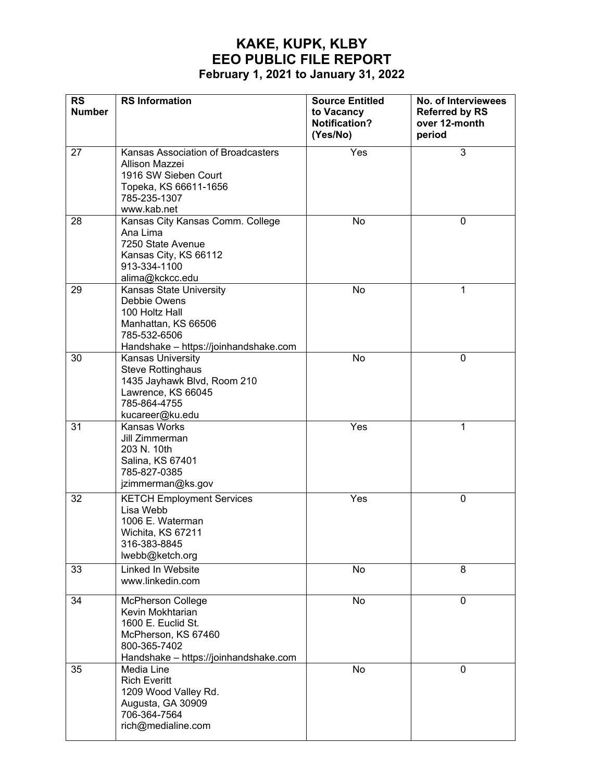| <b>RS</b><br><b>Number</b> | <b>RS</b> Information                                                                                                                       | <b>Source Entitled</b><br>to Vacancy<br><b>Notification?</b><br>(Yes/No) | No. of Interviewees<br><b>Referred by RS</b><br>over 12-month<br>period |
|----------------------------|---------------------------------------------------------------------------------------------------------------------------------------------|--------------------------------------------------------------------------|-------------------------------------------------------------------------|
| 27                         | Kansas Association of Broadcasters<br>Allison Mazzei<br>1916 SW Sieben Court<br>Topeka, KS 66611-1656<br>785-235-1307<br>www.kab.net        | Yes                                                                      | 3                                                                       |
| 28                         | Kansas City Kansas Comm. College<br>Ana Lima<br>7250 State Avenue<br>Kansas City, KS 66112<br>913-334-1100<br>alima@kckcc.edu               | No                                                                       | $\mathbf 0$                                                             |
| 29                         | Kansas State University<br>Debbie Owens<br>100 Holtz Hall<br>Manhattan, KS 66506<br>785-532-6506<br>Handshake - https://joinhandshake.com   | No                                                                       | 1                                                                       |
| 30                         | Kansas University<br><b>Steve Rottinghaus</b><br>1435 Jayhawk Blvd, Room 210<br>Lawrence, KS 66045<br>785-864-4755<br>kucareer@ku.edu       | No                                                                       | $\mathbf 0$                                                             |
| 31                         | Kansas Works<br>Jill Zimmerman<br>203 N. 10th<br>Salina, KS 67401<br>785-827-0385<br>jzimmerman@ks.gov                                      | Yes                                                                      | 1                                                                       |
| 32                         | <b>KETCH Employment Services</b><br>Lisa Webb<br>1006 E. Waterman<br>Wichita, KS 67211<br>316-383-8845<br>lwebb@ketch.org                   | Yes                                                                      | $\mathbf 0$                                                             |
| 33                         | Linked In Website<br>www.linkedin.com                                                                                                       | No                                                                       | 8                                                                       |
| 34                         | McPherson College<br>Kevin Mokhtarian<br>1600 E. Euclid St.<br>McPherson, KS 67460<br>800-365-7402<br>Handshake - https://joinhandshake.com | No                                                                       | $\mathbf 0$                                                             |
| 35                         | Media Line<br><b>Rich Everitt</b><br>1209 Wood Valley Rd.<br>Augusta, GA 30909<br>706-364-7564<br>rich@medialine.com                        | No                                                                       | 0                                                                       |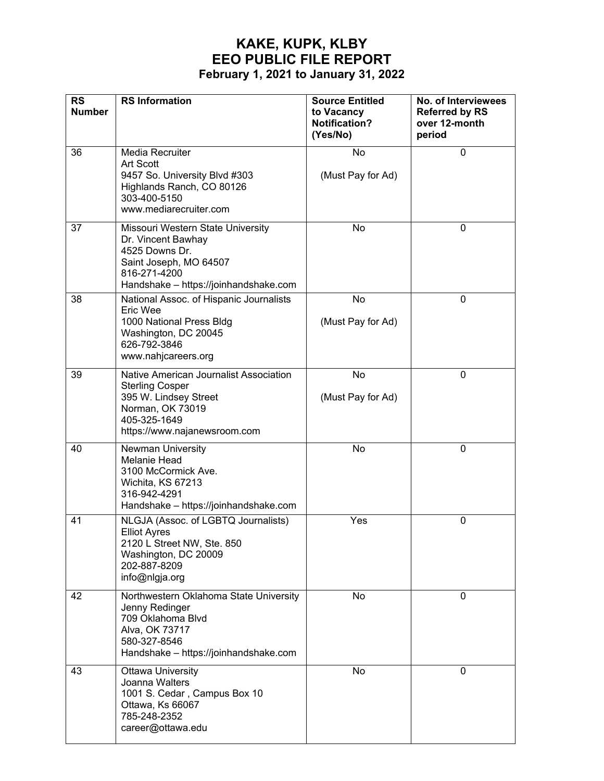| <b>RS</b><br><b>Number</b> | <b>RS Information</b>                                                                                                                                         | <b>Source Entitled</b><br>to Vacancy<br><b>Notification?</b><br>(Yes/No) | No. of Interviewees<br><b>Referred by RS</b><br>over 12-month<br>period |
|----------------------------|---------------------------------------------------------------------------------------------------------------------------------------------------------------|--------------------------------------------------------------------------|-------------------------------------------------------------------------|
| 36                         | Media Recruiter<br><b>Art Scott</b><br>9457 So. University Blvd #303<br>Highlands Ranch, CO 80126<br>303-400-5150<br>www.mediarecruiter.com                   | No<br>(Must Pay for Ad)                                                  | $\mathbf 0$                                                             |
| 37                         | Missouri Western State University<br>Dr. Vincent Bawhay<br>4525 Downs Dr.<br>Saint Joseph, MO 64507<br>816-271-4200<br>Handshake - https://joinhandshake.com  | No                                                                       | 0                                                                       |
| 38                         | National Assoc. of Hispanic Journalists<br>Eric Wee<br>1000 National Press Bldg<br>Washington, DC 20045<br>626-792-3846<br>www.nahjcareers.org                | No<br>(Must Pay for Ad)                                                  | $\mathbf 0$                                                             |
| 39                         | Native American Journalist Association<br><b>Sterling Cosper</b><br>395 W. Lindsey Street<br>Norman, OK 73019<br>405-325-1649<br>https://www.najanewsroom.com | <b>No</b><br>(Must Pay for Ad)                                           | $\mathbf 0$                                                             |
| 40                         | <b>Newman University</b><br><b>Melanie Head</b><br>3100 McCormick Ave.<br>Wichita, KS 67213<br>316-942-4291<br>Handshake - https://joinhandshake.com          | No                                                                       | $\mathbf 0$                                                             |
| 41                         | NLGJA (Assoc. of LGBTQ Journalists)<br><b>Elliot Ayres</b><br>2120 L Street NW, Ste. 850<br>Washington, DC 20009<br>202-887-8209<br>info@nlgja.org            | Yes                                                                      | 0                                                                       |
| 42                         | Northwestern Oklahoma State University<br>Jenny Redinger<br>709 Oklahoma Blvd<br>Alva, OK 73717<br>580-327-8546<br>Handshake - https://joinhandshake.com      | No                                                                       | $\mathbf{0}$                                                            |
| 43                         | <b>Ottawa University</b><br>Joanna Walters<br>1001 S. Cedar, Campus Box 10<br>Ottawa, Ks 66067<br>785-248-2352<br>career@ottawa.edu                           | No                                                                       | $\mathbf 0$                                                             |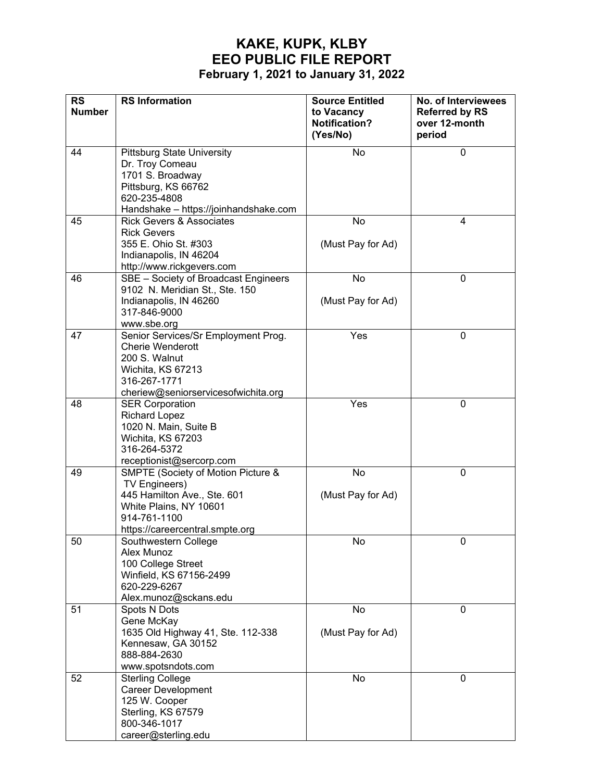| <b>RS</b>     | <b>RS Information</b>                                                                                                                                           | <b>Source Entitled</b>                         | No. of Interviewees                              |
|---------------|-----------------------------------------------------------------------------------------------------------------------------------------------------------------|------------------------------------------------|--------------------------------------------------|
| <b>Number</b> |                                                                                                                                                                 | to Vacancy<br><b>Notification?</b><br>(Yes/No) | <b>Referred by RS</b><br>over 12-month<br>period |
| 44            | <b>Pittsburg State University</b><br>Dr. Troy Comeau<br>1701 S. Broadway<br>Pittsburg, KS 66762<br>620-235-4808<br>Handshake - https://joinhandshake.com        | No                                             | $\mathbf 0$                                      |
| 45            | <b>Rick Gevers &amp; Associates</b><br><b>Rick Gevers</b><br>355 E. Ohio St. #303<br>Indianapolis, IN 46204<br>http://www.rickgevers.com                        | No<br>(Must Pay for Ad)                        | 4                                                |
| 46            | SBE - Society of Broadcast Engineers<br>9102 N. Meridian St., Ste. 150<br>Indianapolis, IN 46260<br>317-846-9000<br>www.sbe.org                                 | No<br>(Must Pay for Ad)                        | $\mathbf 0$                                      |
| 47            | Senior Services/Sr Employment Prog.<br><b>Cherie Wenderott</b><br>200 S. Walnut<br>Wichita, KS 67213<br>316-267-1771<br>cheriew@seniorservicesofwichita.org     | Yes                                            | $\mathbf 0$                                      |
| 48            | <b>SER Corporation</b><br><b>Richard Lopez</b><br>1020 N. Main, Suite B<br>Wichita, KS 67203<br>316-264-5372<br>receptionist@sercorp.com                        | Yes                                            | 0                                                |
| 49            | SMPTE (Society of Motion Picture &<br>TV Engineers)<br>445 Hamilton Ave., Ste. 601<br>White Plains, NY 10601<br>914-761-1100<br>https://careercentral.smpte.org | No<br>(Must Pay for Ad)                        | 0                                                |
| 50            | Southwestern College<br>Alex Munoz<br>100 College Street<br>Winfield, KS 67156-2499<br>620-229-6267<br>Alex.munoz@sckans.edu                                    | No                                             | 0                                                |
| 51            | Spots N Dots<br>Gene McKay<br>1635 Old Highway 41, Ste. 112-338<br>Kennesaw, GA 30152<br>888-884-2630<br>www.spotsndots.com                                     | No<br>(Must Pay for Ad)                        | 0                                                |
| 52            | <b>Sterling College</b><br><b>Career Development</b><br>125 W. Cooper<br>Sterling, KS 67579<br>800-346-1017<br>career@sterling.edu                              | No                                             | $\mathbf 0$                                      |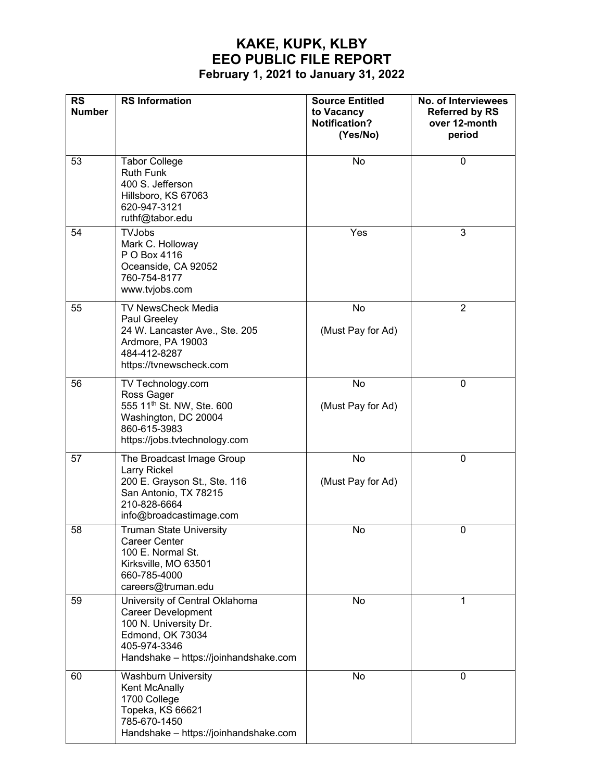| <b>RS</b><br><b>Number</b> | <b>RS</b> Information                                                                                                                                             | <b>Source Entitled</b><br>to Vacancy<br><b>Notification?</b><br>(Yes/No) | No. of Interviewees<br><b>Referred by RS</b><br>over 12-month<br>period |
|----------------------------|-------------------------------------------------------------------------------------------------------------------------------------------------------------------|--------------------------------------------------------------------------|-------------------------------------------------------------------------|
| 53                         | <b>Tabor College</b><br><b>Ruth Funk</b><br>400 S. Jefferson<br>Hillsboro, KS 67063<br>620-947-3121<br>ruthf@tabor.edu                                            | No                                                                       | 0                                                                       |
| 54                         | <b>TVJobs</b><br>Mark C. Holloway<br>P O Box 4116<br>Oceanside, CA 92052<br>760-754-8177<br>www.tvjobs.com                                                        | Yes                                                                      | 3                                                                       |
| 55                         | <b>TV NewsCheck Media</b><br>Paul Greeley<br>24 W. Lancaster Ave., Ste. 205<br>Ardmore, PA 19003<br>484-412-8287<br>https://tvnewscheck.com                       | No<br>(Must Pay for Ad)                                                  | $\overline{2}$                                                          |
| 56                         | TV Technology.com<br>Ross Gager<br>555 11 <sup>th</sup> St. NW, Ste. 600<br>Washington, DC 20004<br>860-615-3983<br>https://jobs.tvtechnology.com                 | No<br>(Must Pay for Ad)                                                  | 0                                                                       |
| 57                         | The Broadcast Image Group<br>Larry Rickel<br>200 E. Grayson St., Ste. 116<br>San Antonio, TX 78215<br>210-828-6664<br>info@broadcastimage.com                     | No<br>(Must Pay for Ad)                                                  | 0                                                                       |
| 58                         | <b>Truman State University</b><br><b>Career Center</b><br>100 E. Normal St.<br>Kirksville, MO 63501<br>660-785-4000<br>careers@truman.edu                         | No                                                                       | 0                                                                       |
| 59                         | University of Central Oklahoma<br><b>Career Development</b><br>100 N. University Dr.<br>Edmond, OK 73034<br>405-974-3346<br>Handshake - https://joinhandshake.com | No                                                                       | 1                                                                       |
| 60                         | <b>Washburn University</b><br>Kent McAnally<br>1700 College<br>Topeka, KS 66621<br>785-670-1450<br>Handshake - https://joinhandshake.com                          | No                                                                       | 0                                                                       |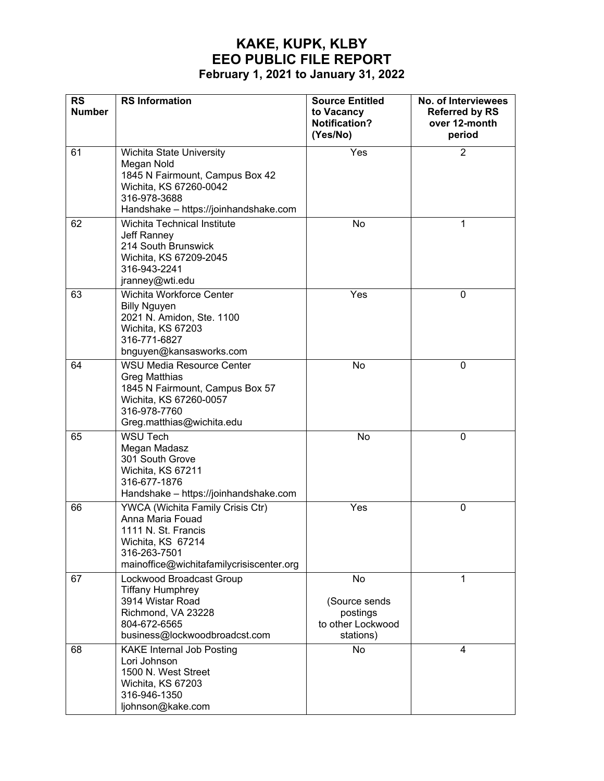| <b>RS</b><br><b>Number</b> | <b>RS</b> Information                                                                                                                                              | <b>Source Entitled</b><br>to Vacancy<br><b>Notification?</b><br>(Yes/No) | No. of Interviewees<br><b>Referred by RS</b><br>over 12-month<br>period |
|----------------------------|--------------------------------------------------------------------------------------------------------------------------------------------------------------------|--------------------------------------------------------------------------|-------------------------------------------------------------------------|
| 61                         | Wichita State University<br>Megan Nold<br>1845 N Fairmount, Campus Box 42<br>Wichita, KS 67260-0042<br>316-978-3688<br>Handshake - https://joinhandshake.com       | Yes                                                                      | $\overline{2}$                                                          |
| 62                         | Wichita Technical Institute<br>Jeff Ranney<br>214 South Brunswick<br>Wichita, KS 67209-2045<br>316-943-2241<br>jranney@wti.edu                                     | No                                                                       | 1                                                                       |
| 63                         | Wichita Workforce Center<br><b>Billy Nguyen</b><br>2021 N. Amidon, Ste. 1100<br>Wichita, KS 67203<br>316-771-6827<br>bnguyen@kansasworks.com                       | Yes                                                                      | $\pmb{0}$                                                               |
| 64                         | <b>WSU Media Resource Center</b><br><b>Greg Matthias</b><br>1845 N Fairmount, Campus Box 57<br>Wichita, KS 67260-0057<br>316-978-7760<br>Greg.matthias@wichita.edu | No                                                                       | $\pmb{0}$                                                               |
| 65                         | <b>WSU Tech</b><br>Megan Madasz<br>301 South Grove<br>Wichita, KS 67211<br>316-677-1876<br>Handshake - https://joinhandshake.com                                   | No                                                                       | $\pmb{0}$                                                               |
| 66                         | YWCA (Wichita Family Crisis Ctr)<br>Anna Maria Fouad<br>1111 N. St. Francis<br>Wichita, KS 67214<br>316-263-7501<br>mainoffice@wichitafamilycrisiscenter.org       | Yes                                                                      | $\pmb{0}$                                                               |
| 67                         | Lockwood Broadcast Group<br><b>Tiffany Humphrey</b><br>3914 Wistar Road<br>Richmond, VA 23228<br>804-672-6565<br>business@lockwoodbroadcst.com                     | No<br>(Source sends<br>postings<br>to other Lockwood<br>stations)        | 1                                                                       |
| 68                         | <b>KAKE Internal Job Posting</b><br>Lori Johnson<br>1500 N. West Street<br>Wichita, KS 67203<br>316-946-1350<br>ljohnson@kake.com                                  | No                                                                       | 4                                                                       |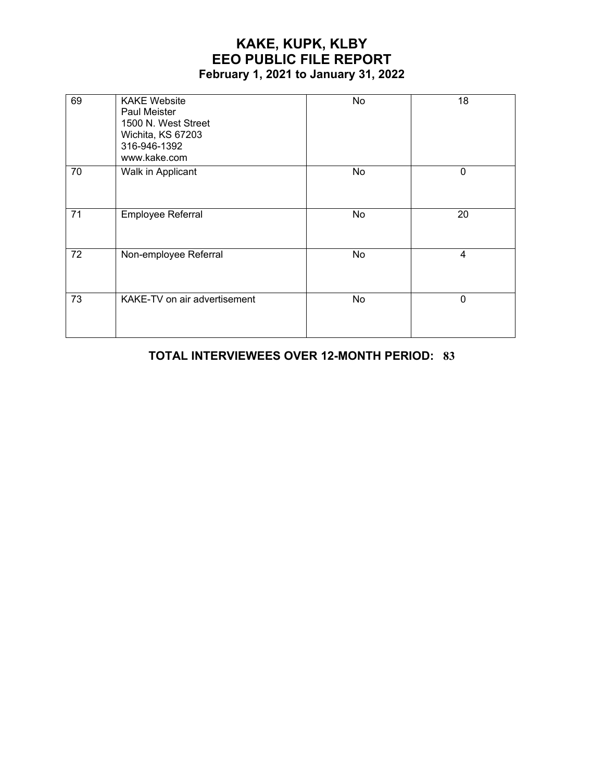| 69 | <b>KAKE Website</b><br><b>Paul Meister</b><br>1500 N. West Street<br>Wichita, KS 67203<br>316-946-1392<br>www.kake.com | No        | 18             |
|----|------------------------------------------------------------------------------------------------------------------------|-----------|----------------|
| 70 | Walk in Applicant                                                                                                      | <b>No</b> | $\mathbf 0$    |
| 71 | Employee Referral                                                                                                      | No        | 20             |
| 72 | Non-employee Referral                                                                                                  | No        | $\overline{4}$ |
| 73 | KAKE-TV on air advertisement                                                                                           | No        | $\mathbf 0$    |

#### **TOTAL INTERVIEWEES OVER 12-MONTH PERIOD: 83**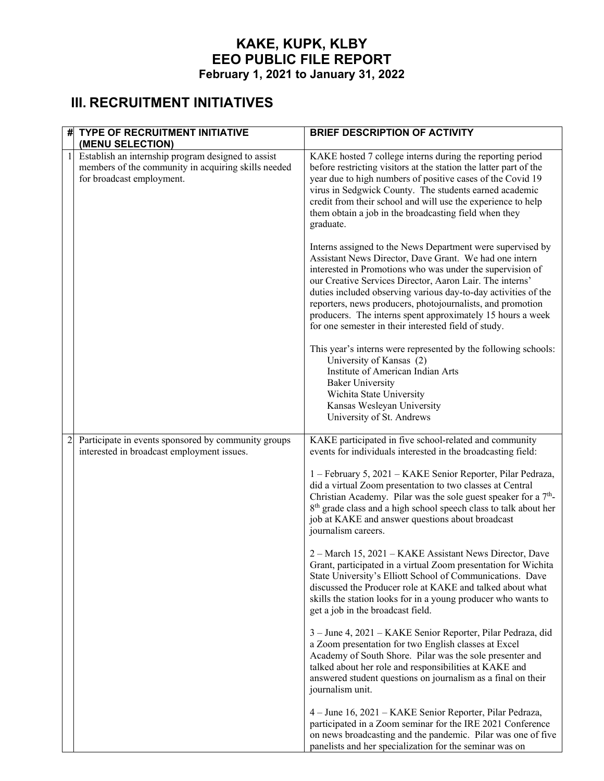# **III. RECRUITMENT INITIATIVES**

| #1             | <b>TYPE OF RECRUITMENT INITIATIVE</b><br>(MENU SELECTION)                                                                              | <b>BRIEF DESCRIPTION OF ACTIVITY</b>                                                                                                                                                                                                                                                                                                                                                                                                                       |
|----------------|----------------------------------------------------------------------------------------------------------------------------------------|------------------------------------------------------------------------------------------------------------------------------------------------------------------------------------------------------------------------------------------------------------------------------------------------------------------------------------------------------------------------------------------------------------------------------------------------------------|
| $\mathbf{1}$   | Establish an internship program designed to assist<br>members of the community in acquiring skills needed<br>for broadcast employment. | KAKE hosted 7 college interns during the reporting period<br>before restricting visitors at the station the latter part of the<br>year due to high numbers of positive cases of the Covid 19<br>virus in Sedgwick County. The students earned academic<br>credit from their school and will use the experience to help<br>them obtain a job in the broadcasting field when they<br>graduate.<br>Interns assigned to the News Department were supervised by |
|                |                                                                                                                                        | Assistant News Director, Dave Grant. We had one intern<br>interested in Promotions who was under the supervision of<br>our Creative Services Director, Aaron Lair. The interns'<br>duties included observing various day-to-day activities of the<br>reporters, news producers, photojournalists, and promotion<br>producers. The interns spent approximately 15 hours a week<br>for one semester in their interested field of study.                      |
|                |                                                                                                                                        | This year's interns were represented by the following schools:<br>University of Kansas (2)<br>Institute of American Indian Arts<br><b>Baker University</b><br>Wichita State University<br>Kansas Wesleyan University<br>University of St. Andrews                                                                                                                                                                                                          |
| $\overline{c}$ | Participate in events sponsored by community groups<br>interested in broadcast employment issues.                                      | KAKE participated in five school-related and community<br>events for individuals interested in the broadcasting field:                                                                                                                                                                                                                                                                                                                                     |
|                |                                                                                                                                        | 1 - February 5, 2021 - KAKE Senior Reporter, Pilar Pedraza,<br>did a virtual Zoom presentation to two classes at Central<br>Christian Academy. Pilar was the sole guest speaker for a 7 <sup>th</sup> -<br>8 <sup>th</sup> grade class and a high school speech class to talk about her<br>job at KAKE and answer questions about broadcast<br>journalism careers.                                                                                         |
|                |                                                                                                                                        | 2 – March 15, 2021 – KAKE Assistant News Director, Dave<br>Grant, participated in a virtual Zoom presentation for Wichita<br>State University's Elliott School of Communications. Dave<br>discussed the Producer role at KAKE and talked about what<br>skills the station looks for in a young producer who wants to<br>get a job in the broadcast field.                                                                                                  |
|                |                                                                                                                                        | 3 – June 4, 2021 – KAKE Senior Reporter, Pilar Pedraza, did<br>a Zoom presentation for two English classes at Excel<br>Academy of South Shore. Pilar was the sole presenter and<br>talked about her role and responsibilities at KAKE and<br>answered student questions on journalism as a final on their<br>journalism unit.                                                                                                                              |
|                |                                                                                                                                        | 4 – June 16, 2021 – KAKE Senior Reporter, Pilar Pedraza,<br>participated in a Zoom seminar for the IRE 2021 Conference<br>on news broadcasting and the pandemic. Pilar was one of five<br>panelists and her specialization for the seminar was on                                                                                                                                                                                                          |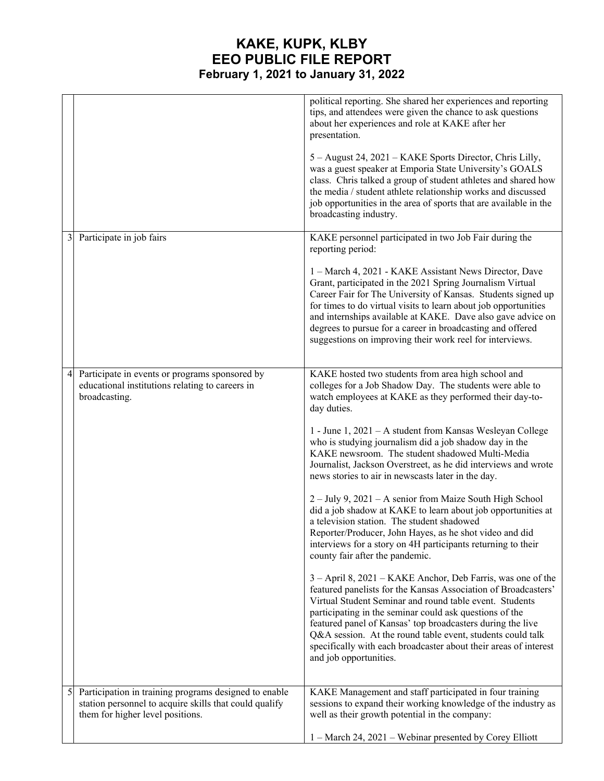|                |                                                                                                                                                     | political reporting. She shared her experiences and reporting<br>tips, and attendees were given the chance to ask questions<br>about her experiences and role at KAKE after her<br>presentation.<br>5 - August 24, 2021 - KAKE Sports Director, Chris Lilly,<br>was a guest speaker at Emporia State University's GOALS<br>class. Chris talked a group of student athletes and shared how<br>the media / student athlete relationship works and discussed<br>job opportunities in the area of sports that are available in the<br>broadcasting industry.                                                                                                                                                                                                                                                                                                                                                                                                                                                                                                                                                                                                                                                                                                                                                            |
|----------------|-----------------------------------------------------------------------------------------------------------------------------------------------------|---------------------------------------------------------------------------------------------------------------------------------------------------------------------------------------------------------------------------------------------------------------------------------------------------------------------------------------------------------------------------------------------------------------------------------------------------------------------------------------------------------------------------------------------------------------------------------------------------------------------------------------------------------------------------------------------------------------------------------------------------------------------------------------------------------------------------------------------------------------------------------------------------------------------------------------------------------------------------------------------------------------------------------------------------------------------------------------------------------------------------------------------------------------------------------------------------------------------------------------------------------------------------------------------------------------------|
| 3 <sup>1</sup> | Participate in job fairs                                                                                                                            | KAKE personnel participated in two Job Fair during the<br>reporting period:<br>1 – March 4, 2021 - KAKE Assistant News Director, Dave<br>Grant, participated in the 2021 Spring Journalism Virtual<br>Career Fair for The University of Kansas. Students signed up<br>for times to do virtual visits to learn about job opportunities<br>and internships available at KAKE. Dave also gave advice on<br>degrees to pursue for a career in broadcasting and offered<br>suggestions on improving their work reel for interviews.                                                                                                                                                                                                                                                                                                                                                                                                                                                                                                                                                                                                                                                                                                                                                                                      |
| 4              | Participate in events or programs sponsored by<br>educational institutions relating to careers in<br>broadcasting.                                  | KAKE hosted two students from area high school and<br>colleges for a Job Shadow Day. The students were able to<br>watch employees at KAKE as they performed their day-to-<br>day duties.<br>1 - June 1, 2021 - A student from Kansas Wesleyan College<br>who is studying journalism did a job shadow day in the<br>KAKE newsroom. The student shadowed Multi-Media<br>Journalist, Jackson Overstreet, as he did interviews and wrote<br>news stories to air in newscasts later in the day.<br>2 – July 9, 2021 – A senior from Maize South High School<br>did a job shadow at KAKE to learn about job opportunities at<br>a television station. The student shadowed<br>Reporter/Producer, John Hayes, as he shot video and did<br>interviews for a story on 4H participants returning to their<br>county fair after the pandemic.<br>3 - April 8, 2021 - KAKE Anchor, Deb Farris, was one of the<br>featured panelists for the Kansas Association of Broadcasters'<br>Virtual Student Seminar and round table event. Students<br>participating in the seminar could ask questions of the<br>featured panel of Kansas' top broadcasters during the live<br>Q&A session. At the round table event, students could talk<br>specifically with each broadcaster about their areas of interest<br>and job opportunities. |
| $\mathfrak{S}$ | Participation in training programs designed to enable<br>station personnel to acquire skills that could qualify<br>them for higher level positions. | KAKE Management and staff participated in four training<br>sessions to expand their working knowledge of the industry as<br>well as their growth potential in the company:<br>1 - March 24, 2021 - Webinar presented by Corey Elliott                                                                                                                                                                                                                                                                                                                                                                                                                                                                                                                                                                                                                                                                                                                                                                                                                                                                                                                                                                                                                                                                               |